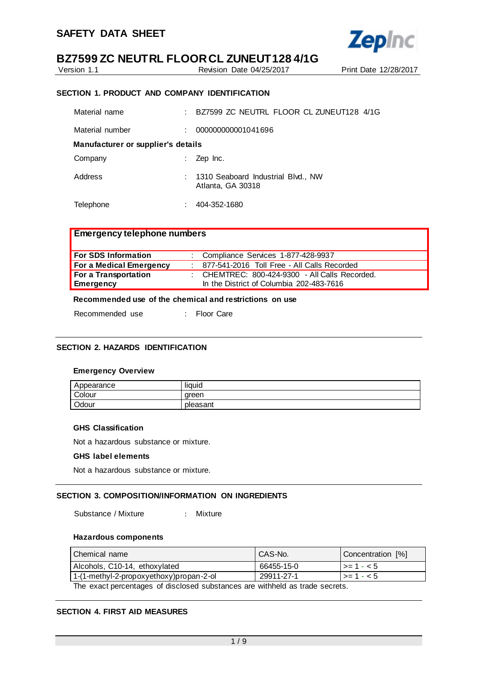

Version 1.1 Revision Date 04/25/2017 Print Date 12/28/2017

## **SECTION 1. PRODUCT AND COMPANY IDENTIFICATION**

| Material name                      |    | BZ7599 ZC NEUTRL FLOOR CL ZUNEUT128 4/1G                  |
|------------------------------------|----|-----------------------------------------------------------|
| Material number                    |    | 000000000001041696                                        |
| Manufacturer or supplier's details |    |                                                           |
| Company                            | t. | Zep Inc.                                                  |
| Address                            |    | : 1310 Seaboard Industrial Blvd., NW<br>Atlanta, GA 30318 |
| Telephone                          |    | 404-352-1680                                              |

# **Emergency telephone numbers**

| For SDS Information     | : Compliance Services 1-877-428-9937             |
|-------------------------|--------------------------------------------------|
| For a Medical Emergency | 877-541-2016 Toll Free - All Calls Recorded      |
| For a Transportation    | : CHEMTREC: $800-424-9300$ - All Calls Recorded. |
| <b>Emergency</b>        | In the District of Columbia 202-483-7616         |

# **Recommended use of the chemical and restrictions on use**

Recommended use : Floor Care

# **SECTION 2. HAZARDS IDENTIFICATION**

#### **Emergency Overview**

| Appearance | <br>liauid |
|------------|------------|
| Colour     | areen      |
| Odour      | pleasant   |

## **GHS Classification**

Not a hazardous substance or mixture.

#### **GHS label elements**

Not a hazardous substance or mixture.

# **SECTION 3. COMPOSITION/INFORMATION ON INGREDIENTS**

Substance / Mixture : Mixture

# **Hazardous components**

| I Chemical name                                                             | CAS-No.    | Concentration [%]       |  |
|-----------------------------------------------------------------------------|------------|-------------------------|--|
| Alcohols, C10-14, ethoxylated                                               | 66455-15-0 | $\vert \rangle = 1 - 5$ |  |
| 1-(1-methyl-2-propoxyethoxy)propan-2-ol                                     | 29911-27-1 | l >= 1 - < 5            |  |
| The exact percentages of disclosed substances are withheld as trade secrets |            |                         |  |

The exact percentages of disclosed substances are withheld as trade secrets.

# **SECTION 4. FIRST AID MEASURES**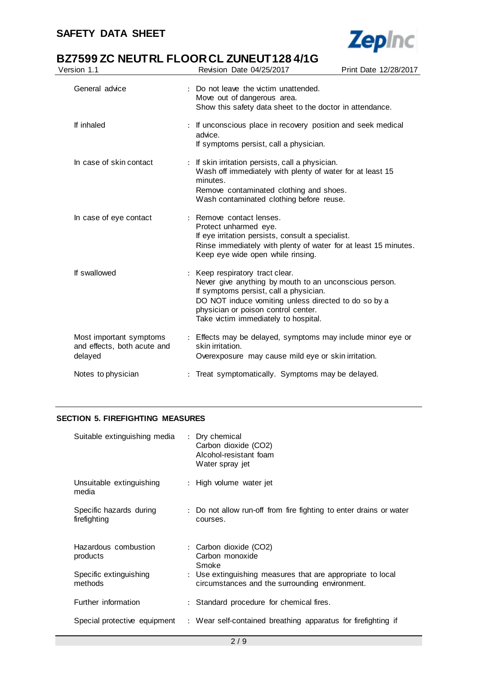

# **BZ7599 ZC NEUTRL FLOOR CL ZUNEUT128 4/1G**<br>Version 1.1 Revision Date 04/25/2017

| Version 1.1                                                       | Revision Date 04/25/2017                                                                                                                                                                                                                                                   | Print Date 12/28/2017 |
|-------------------------------------------------------------------|----------------------------------------------------------------------------------------------------------------------------------------------------------------------------------------------------------------------------------------------------------------------------|-----------------------|
| General advice                                                    | : Do not leave the victim unattended.<br>Move out of dangerous area.<br>Show this safety data sheet to the doctor in attendance.                                                                                                                                           |                       |
| If inhaled                                                        | : If unconscious place in recovery position and seek medical<br>advice.<br>If symptoms persist, call a physician.                                                                                                                                                          |                       |
| In case of skin contact                                           | : If skin irritation persists, call a physician.<br>Wash off immediately with plenty of water for at least 15<br>minutes.<br>Remove contaminated clothing and shoes.<br>Wash contaminated clothing before reuse.                                                           |                       |
| In case of eye contact                                            | : Remove contact lenses.<br>Protect unharmed eye.<br>If eye irritation persists, consult a specialist.<br>Rinse immediately with plenty of water for at least 15 minutes.<br>Keep eye wide open while rinsing.                                                             |                       |
| If swallowed                                                      | : Keep respiratory tract clear.<br>Never give anything by mouth to an unconscious person.<br>If symptoms persist, call a physician.<br>DO NOT induce vomiting unless directed to do so by a<br>physician or poison control center.<br>Take victim immediately to hospital. |                       |
| Most important symptoms<br>and effects, both acute and<br>delayed | : Effects may be delayed, symptoms may include minor eye or<br>skin irritation.<br>Overexposure may cause mild eye or skin irritation.                                                                                                                                     |                       |
| Notes to physician                                                | Treat symptomatically. Symptoms may be delayed.                                                                                                                                                                                                                            |                       |
|                                                                   |                                                                                                                                                                                                                                                                            |                       |

# **SECTION 5. FIREFIGHTING MEASURES**

| Suitable extinguishing media            | : Dry chemical<br>Carbon dioxide (CO2)<br>Alcohol-resistant foam<br>Water spray jet                          |
|-----------------------------------------|--------------------------------------------------------------------------------------------------------------|
| Unsuitable extinguishing<br>media       | : High volume water jet                                                                                      |
| Specific hazards during<br>firefighting | : Do not allow run-off from fire fighting to enter drains or water<br>courses.                               |
| Hazardous combustion<br>products        | : Carbon dioxide (CO2)<br>Carbon monoxide<br>Smoke                                                           |
| Specific extinguishing<br>methods       | : Use extinguishing measures that are appropriate to local<br>circumstances and the surrounding environment. |
| Further information                     | : Standard procedure for chemical fires.                                                                     |
| Special protective equipment            | : Wear self-contained breathing apparatus for firefighting if                                                |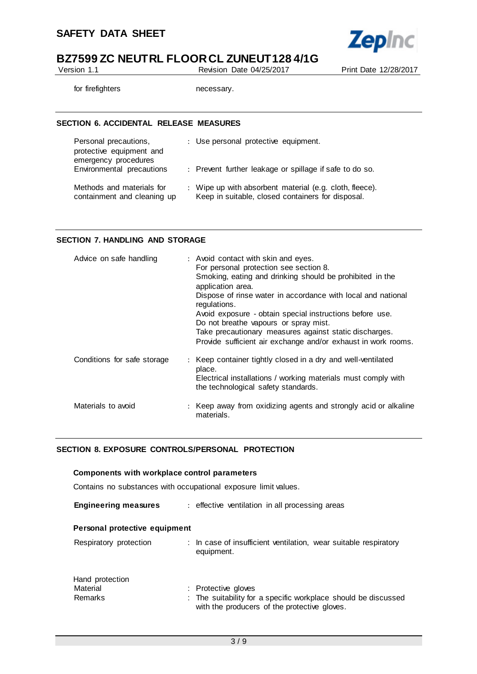

Version 1.1 Revision Date 04/25/2017 Print Date 12/28/2017

for firefighters necessary.

## **SECTION 6. ACCIDENTAL RELEASE MEASURES**

| Personal precautions,<br>protective equipment and<br>emergency procedures | : Use personal protective equipment.                                                                         |
|---------------------------------------------------------------------------|--------------------------------------------------------------------------------------------------------------|
| Environmental precautions                                                 | : Prevent further leakage or spillage if safe to do so.                                                      |
| Methods and materials for<br>containment and cleaning up                  | : Wipe up with absorbent material (e.g. cloth, fleece).<br>Keep in suitable, closed containers for disposal. |

## **SECTION 7. HANDLING AND STORAGE**

| Advice on safe handling     | : Avoid contact with skin and eyes.<br>For personal protection see section 8.<br>Smoking, eating and drinking should be prohibited in the<br>application area.<br>Dispose of rinse water in accordance with local and national<br>regulations.<br>Avoid exposure - obtain special instructions before use. |
|-----------------------------|------------------------------------------------------------------------------------------------------------------------------------------------------------------------------------------------------------------------------------------------------------------------------------------------------------|
|                             | Do not breathe vapours or spray mist.<br>Take precautionary measures against static discharges.<br>Provide sufficient air exchange and/or exhaust in work rooms.                                                                                                                                           |
| Conditions for safe storage | : Keep container tightly closed in a dry and well-ventilated<br>place.<br>Electrical installations / working materials must comply with<br>the technological safety standards.                                                                                                                             |
| Materials to avoid          | : Keep away from oxidizing agents and strongly acid or alkaline<br>materials.                                                                                                                                                                                                                              |

# **SECTION 8. EXPOSURE CONTROLS/PERSONAL PROTECTION**

| Components with workplace control parameters                    |                                                                                                                                       |  |  |
|-----------------------------------------------------------------|---------------------------------------------------------------------------------------------------------------------------------------|--|--|
| Contains no substances with occupational exposure limit values. |                                                                                                                                       |  |  |
| <b>Engineering measures</b>                                     | : effective ventilation in all processing areas                                                                                       |  |  |
| Personal protective equipment                                   |                                                                                                                                       |  |  |
| Respiratory protection                                          | : In case of insufficient ventilation, wear suitable respiratory<br>equipment.                                                        |  |  |
| Hand protection<br>Material<br>Remarks                          | : Protective gloves<br>: The suitability for a specific workplace should be discussed<br>with the producers of the protective gloves. |  |  |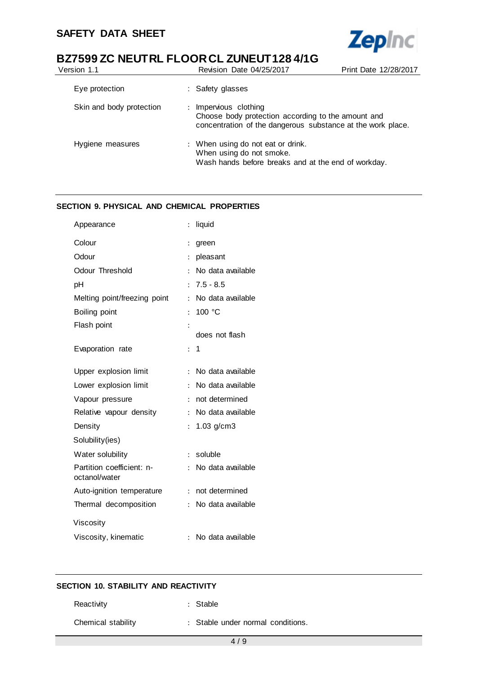

# **BZ7599 ZC NEUTRL FLOOR CL ZUNEUT128 4/1G**<br>Version 1.1 Revision Date 04/25/2017

| Version 1.1              | Revision Date 04/25/2017                                                                                                                                         | Print Date 12/28/2017 |
|--------------------------|------------------------------------------------------------------------------------------------------------------------------------------------------------------|-----------------------|
| Eye protection           | : Safety glasses                                                                                                                                                 |                       |
| Skin and body protection | Impervious clothing<br>$\ddot{\phantom{0}}$<br>Choose body protection according to the amount and<br>concentration of the dangerous substance at the work place. |                       |
| Hygiene measures         | : When using do not eat or drink.<br>When using do not smoke.<br>Wash hands before breaks and at the end of workday.                                             |                       |

# **SECTION 9. PHYSICAL AND CHEMICAL PROPERTIES**

| Appearance                                 |                      | liquid            |
|--------------------------------------------|----------------------|-------------------|
| Colour                                     | $\ddot{\cdot}$       | green             |
| Odour                                      | $\ddot{\phantom{a}}$ | pleasant          |
| Odour Threshold                            | $\ddot{\phantom{a}}$ | No data available |
| pH                                         | $\ddot{\phantom{0}}$ | $7.5 - 8.5$       |
| Melting point/freezing point               | $\ddot{\cdot}$       | No data available |
| Boiling point                              | ÷                    | 100 $\degree$ C   |
| Flash point                                |                      |                   |
|                                            |                      | does not flash    |
| Evaporation rate                           | ÷.                   | 1                 |
| Upper explosion limit                      | $\ddot{\cdot}$       | No data available |
| Lower explosion limit                      | $\ddot{\cdot}$       | No data available |
| Vapour pressure                            | ÷                    | not determined    |
| Relative vapour density                    | ÷                    | No data available |
| Density                                    | $\ddot{\cdot}$       | $1.03$ g/cm $3$   |
| Solubility(ies)                            |                      |                   |
| Water solubility                           | $\ddot{\cdot}$       | soluble           |
| Partition coefficient: n-<br>octanol/water | ÷                    | No data available |
| Auto-ignition temperature                  | ÷                    | not determined    |
| Thermal decomposition                      |                      | No data available |
| Viscosity                                  |                      |                   |
| Viscosity, kinematic                       | $\ddot{\cdot}$       | No data available |

# **SECTION 10. STABILITY AND REACTIVITY**

Reactivity : Stable

Chemical stability : Stable under normal conditions.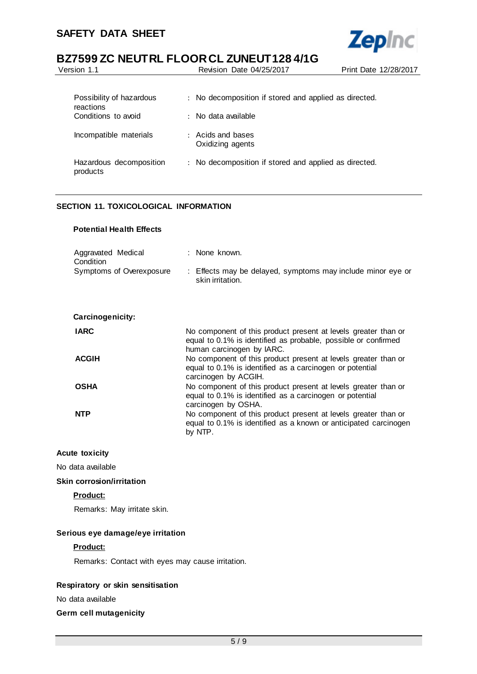j.



# **BZ7599 ZC NEUTRL FLOOR CL ZUNEUT128 4/1G**

| Version 1.1                           | Revision Date 04/25/2017                                                         | Print Date 12/28/2017 |
|---------------------------------------|----------------------------------------------------------------------------------|-----------------------|
|                                       |                                                                                  |                       |
| Possibility of hazardous<br>reactions | No decomposition if stored and applied as directed.<br>$\mathbb{R}^{\mathbb{Z}}$ |                       |
| Conditions to avoid                   | $\pm$ No data available.                                                         |                       |
| Incompatible materials                | : Acids and bases<br>Oxidizing agents                                            |                       |
| Hazardous decomposition<br>products   | : No decomposition if stored and applied as directed.                            |                       |

# **SECTION 11. TOXICOLOGICAL INFORMATION**

# **Potential Health Effects**

| Aggravated Medical<br>Condition | : None known.                                                                   |
|---------------------------------|---------------------------------------------------------------------------------|
| Symptoms of Overexposure        | : Effects may be delayed, symptoms may include minor eye or<br>skin irritation. |

| Carcinogenicity: |  |
|------------------|--|
|------------------|--|

| <b>IARC</b>  | No component of this product present at levels greater than or<br>equal to 0.1% is identified as probable, possible or confirmed<br>human carcinogen by IARC. |
|--------------|---------------------------------------------------------------------------------------------------------------------------------------------------------------|
| <b>ACGIH</b> | No component of this product present at levels greater than or<br>equal to 0.1% is identified as a carcinogen or potential<br>carcinogen by ACGIH.            |
| <b>OSHA</b>  | No component of this product present at levels greater than or<br>equal to 0.1% is identified as a carcinogen or potential<br>carcinogen by OSHA.             |
| <b>NTP</b>   | No component of this product present at levels greater than or<br>equal to 0.1% is identified as a known or anticipated carcinogen<br>by NTP.                 |

# **Acute toxicity**

No data available

#### **Skin corrosion/irritation**

# **Product:**

Remarks: May irritate skin.

# **Serious eye damage/eye irritation**

# **Product:**

Remarks: Contact with eyes may cause irritation.

# **Respiratory or skin sensitisation**

No data available

# **Germ cell mutagenicity**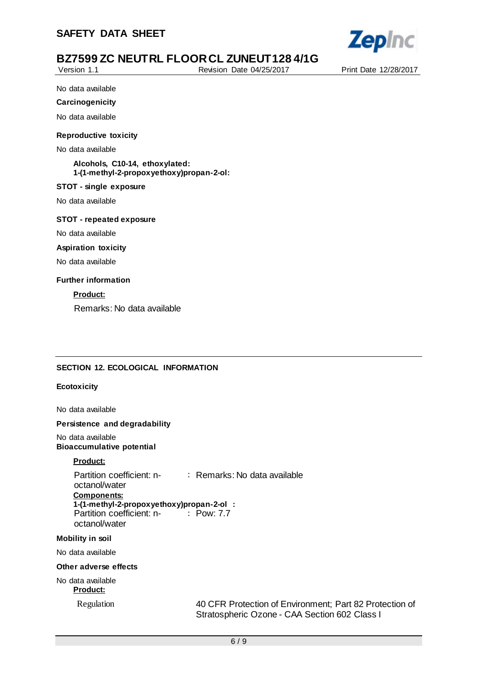

Version 1.1 Revision Date 04/25/2017 Print Date 12/28/2017

No data available

#### **Carcinogenicity**

No data available

#### **Reproductive toxicity**

No data available

**Alcohols, C10-14, ethoxylated: 1-(1-methyl-2-propoxyethoxy)propan-2-ol:**

## **STOT - single exposure**

No data available

#### **STOT - repeated exposure**

No data available

#### **Aspiration toxicity**

No data available

### **Further information**

**Product:**

Remarks: No data available

# **SECTION 12. ECOLOGICAL INFORMATION**

#### **Ecotoxicity**

No data available

#### **Persistence and degradability**

No data available **Bioaccumulative potential**

# **Product:**

Partition coefficient: noctanol/water : Remarks: No data available **Components: 1-(1-methyl-2-propoxyethoxy)propan-2-ol :** Partition coefficient: noctanol/water : Pow: 7.7

## **Mobility in soil**

No data available

## **Other adverse effects**

No data available **Product:**

Regulation 40 CFR Protection of Environment; Part 82 Protection of Stratospheric Ozone - CAA Section 602 Class I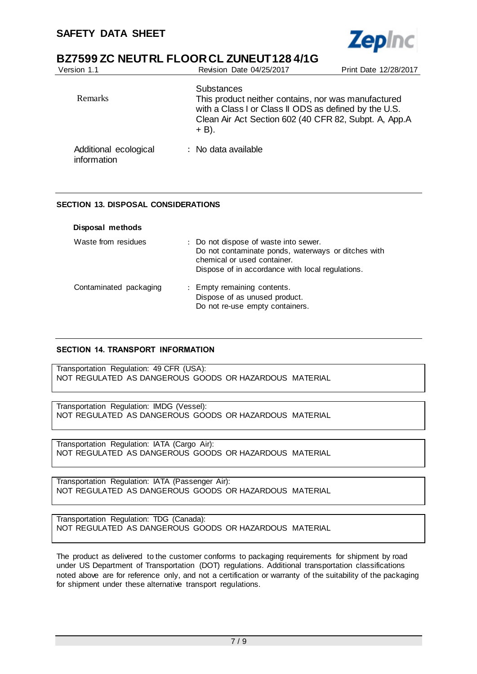

| Version 1.1                          | Revision Date 04/25/2017                                                                                                                                                                               | Print Date 12/28/2017 |
|--------------------------------------|--------------------------------------------------------------------------------------------------------------------------------------------------------------------------------------------------------|-----------------------|
| Remarks                              | <b>Substances</b><br>This product neither contains, nor was manufactured<br>with a Class I or Class II ODS as defined by the U.S.<br>Clean Air Act Section 602 (40 CFR 82, Subpt. A, App.A<br>$+ B$ ). |                       |
| Additional ecological<br>information | $\therefore$ No data available                                                                                                                                                                         |                       |

# **SECTION 13. DISPOSAL CONSIDERATIONS**

| Disposal methods       |                                                                                                                                                                                 |
|------------------------|---------------------------------------------------------------------------------------------------------------------------------------------------------------------------------|
| Waste from residues    | : Do not dispose of waste into sewer.<br>Do not contaminate ponds, waterways or ditches with<br>chemical or used container.<br>Dispose of in accordance with local regulations. |
| Contaminated packaging | : Empty remaining contents.<br>Dispose of as unused product.<br>Do not re-use empty containers.                                                                                 |

# **SECTION 14. TRANSPORT INFORMATION**

Transportation Regulation: 49 CFR (USA): NOT REGULATED AS DANGEROUS GOODS OR HAZARDOUS MATERIAL

Transportation Regulation: IMDG (Vessel): NOT REGULATED AS DANGEROUS GOODS OR HAZARDOUS MATERIAL

Transportation Regulation: IATA (Cargo Air): NOT REGULATED AS DANGEROUS GOODS OR HAZARDOUS MATERIAL

Transportation Regulation: IATA (Passenger Air): NOT REGULATED AS DANGEROUS GOODS OR HAZARDOUS MATERIAL

Transportation Regulation: TDG (Canada): NOT REGULATED AS DANGEROUS GOODS OR HAZARDOUS MATERIAL

The product as delivered to the customer conforms to packaging requirements for shipment by road under US Department of Transportation (DOT) regulations. Additional transportation classifications noted above are for reference only, and not a certification or warranty of the suitability of the packaging for shipment under these alternative transport regulations.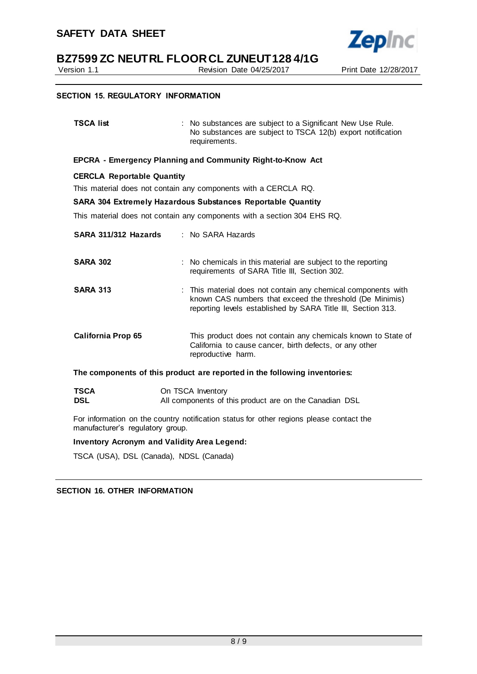

Version 1.1 Revision Date 04/25/2017 Print Date 12/28/2017

# **SECTION 15. REGULATORY INFORMATION**

| <b>TSCA list</b>                                                                                                            | : No substances are subject to a Significant New Use Rule.<br>No substances are subject to TSCA 12(b) export notification<br>requirements.                                                |  |  |  |
|-----------------------------------------------------------------------------------------------------------------------------|-------------------------------------------------------------------------------------------------------------------------------------------------------------------------------------------|--|--|--|
| EPCRA - Emergency Planning and Community Right-to-Know Act                                                                  |                                                                                                                                                                                           |  |  |  |
| <b>CERCLA Reportable Quantity</b>                                                                                           | This material does not contain any components with a CERCLA RQ.                                                                                                                           |  |  |  |
|                                                                                                                             | <b>SARA 304 Extremely Hazardous Substances Reportable Quantity</b>                                                                                                                        |  |  |  |
| This material does not contain any components with a section 304 EHS RQ.                                                    |                                                                                                                                                                                           |  |  |  |
| SARA 311/312 Hazards                                                                                                        | : No SARA Hazards                                                                                                                                                                         |  |  |  |
| <b>SARA 302</b>                                                                                                             | : No chemicals in this material are subject to the reporting<br>requirements of SARA Title III, Section 302.                                                                              |  |  |  |
| <b>SARA 313</b>                                                                                                             | : This material does not contain any chemical components with<br>known CAS numbers that exceed the threshold (De Minimis)<br>reporting levels established by SARA Title III, Section 313. |  |  |  |
| <b>California Prop 65</b>                                                                                                   | This product does not contain any chemicals known to State of<br>California to cause cancer, birth defects, or any other<br>reproductive harm.                                            |  |  |  |
| The components of this product are reported in the following inventories:                                                   |                                                                                                                                                                                           |  |  |  |
| <b>TSCA</b><br><b>DSL</b>                                                                                                   | On TSCA Inventory<br>All components of this product are on the Canadian DSL                                                                                                               |  |  |  |
| For information on the country notification status for other regions please contact the<br>manufacturer's regulatory group. |                                                                                                                                                                                           |  |  |  |

**Inventory Acronym and Validity Area Legend:**

TSCA (USA), DSL (Canada), NDSL (Canada)

**SECTION 16. OTHER INFORMATION**